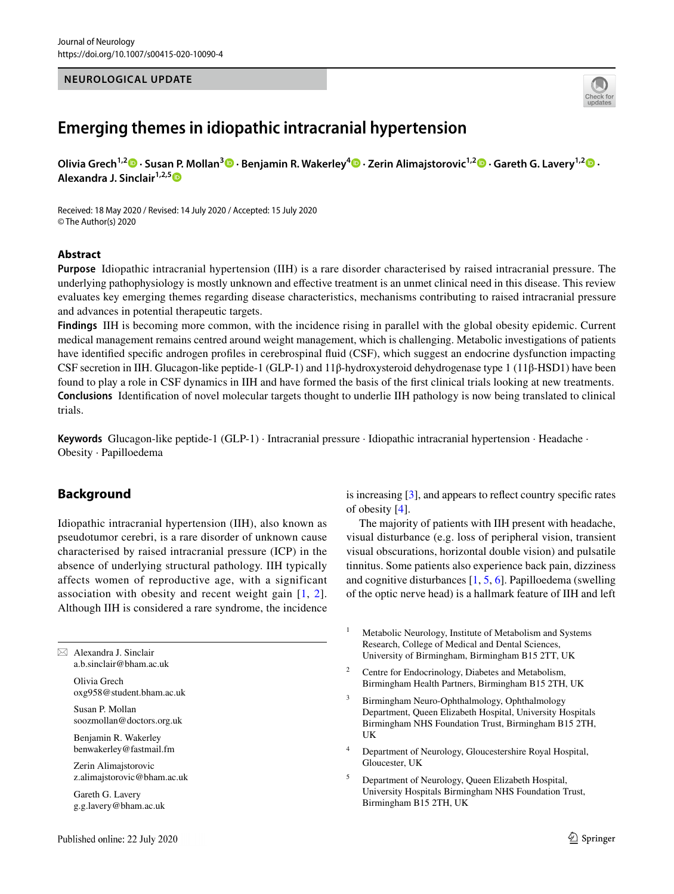## **NEUROLOGICAL UPDATE**



# **Emerging themes in idiopathic intracranial hypertension**

**Olivia Grech1,2 · Susan P. Mollan3  [·](http://orcid.org/0000-0002-6314-4437) Benjamin R. Wakerley4  [·](http://orcid.org/0000-0003-1016-5207) Zerin Alimajstorovic1,2  [·](http://orcid.org/0000-0001-5622-8301) Gareth G. Lavery1,2  [·](http://orcid.org/0000-0001-5794-748X) Alexandra J. Sinclair1,2,[5](http://orcid.org/0000-0003-2777-5132)**

Received: 18 May 2020 / Revised: 14 July 2020 / Accepted: 15 July 2020 © The Author(s) 2020

#### **Abstract**

**Purpose** Idiopathic intracranial hypertension (IIH) is a rare disorder characterised by raised intracranial pressure. The underlying pathophysiology is mostly unknown and efective treatment is an unmet clinical need in this disease. This review evaluates key emerging themes regarding disease characteristics, mechanisms contributing to raised intracranial pressure and advances in potential therapeutic targets.

**Findings** IIH is becoming more common, with the incidence rising in parallel with the global obesity epidemic. Current medical management remains centred around weight management, which is challenging. Metabolic investigations of patients have identifed specifc androgen profles in cerebrospinal fuid (CSF), which suggest an endocrine dysfunction impacting CSF secretion in IIH. Glucagon-like peptide-1 (GLP-1) and 11β-hydroxysteroid dehydrogenase type 1 (11β-HSD1) have been found to play a role in CSF dynamics in IIH and have formed the basis of the frst clinical trials looking at new treatments. **Conclusions** Identifcation of novel molecular targets thought to underlie IIH pathology is now being translated to clinical trials.

**Keywords** Glucagon-like peptide-1 (GLP-1) · Intracranial pressure · Idiopathic intracranial hypertension · Headache · Obesity · Papilloedema

## **Background**

Idiopathic intracranial hypertension (IIH), also known as pseudotumor cerebri, is a rare disorder of unknown cause characterised by raised intracranial pressure (ICP) in the absence of underlying structural pathology. IIH typically affects women of reproductive age, with a significant association with obesity and recent weight gain [[1](#page-5-0), [2](#page-5-1)]. Although IIH is considered a rare syndrome, the incidence

 $\boxtimes$  Alexandra J. Sinclair a.b.sinclair@bham.ac.uk

> Olivia Grech oxg958@student.bham.ac.uk

Susan P. Mollan soozmollan@doctors.org.uk

Benjamin R. Wakerley benwakerley@fastmail.fm

Zerin Alimajstorovic z.alimajstorovic@bham.ac.uk

Gareth G. Lavery g.g.lavery@bham.ac.uk is increasing [\[3](#page-5-2)], and appears to refect country specifc rates of obesity [\[4](#page-5-3)].

The majority of patients with IIH present with headache, visual disturbance (e.g. loss of peripheral vision, transient visual obscurations, horizontal double vision) and pulsatile tinnitus. Some patients also experience back pain, dizziness and cognitive disturbances [[1,](#page-5-0) [5,](#page-6-0) [6](#page-6-1)]. Papilloedema (swelling of the optic nerve head) is a hallmark feature of IIH and left

- <sup>1</sup> Metabolic Neurology, Institute of Metabolism and Systems Research, College of Medical and Dental Sciences, University of Birmingham, Birmingham B15 2TT, UK
- <sup>2</sup> Centre for Endocrinology, Diabetes and Metabolism, Birmingham Health Partners, Birmingham B15 2TH, UK
- <sup>3</sup> Birmingham Neuro-Ophthalmology, Ophthalmology Department, Queen Elizabeth Hospital, University Hospitals Birmingham NHS Foundation Trust, Birmingham B15 2TH, UK
- <sup>4</sup> Department of Neurology, Gloucestershire Royal Hospital, Gloucester, UK
- <sup>5</sup> Department of Neurology, Queen Elizabeth Hospital, University Hospitals Birmingham NHS Foundation Trust, Birmingham B15 2TH, UK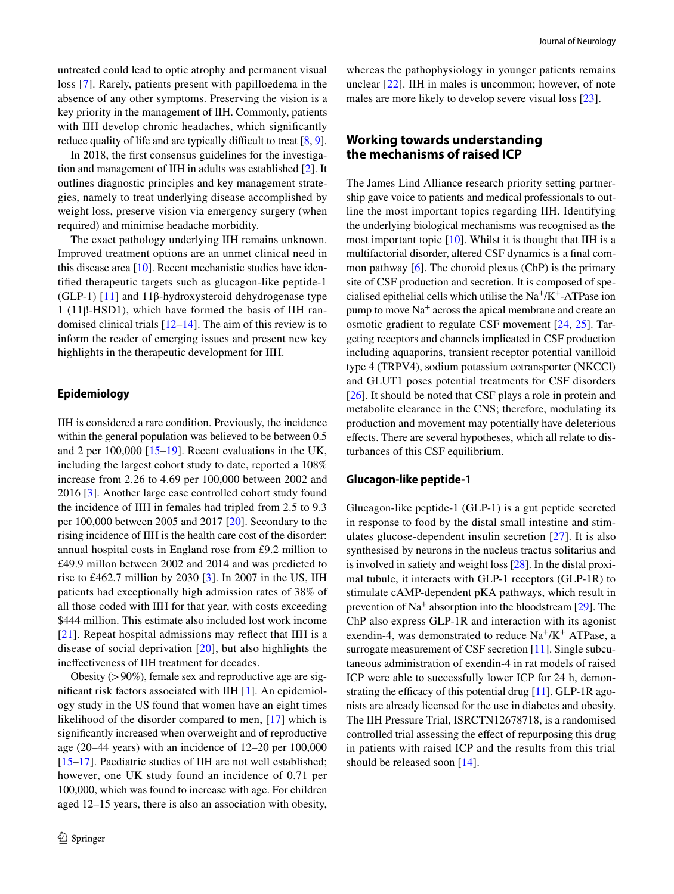untreated could lead to optic atrophy and permanent visual loss [\[7](#page-6-2)]. Rarely, patients present with papilloedema in the absence of any other symptoms. Preserving the vision is a key priority in the management of IIH. Commonly, patients with IIH develop chronic headaches, which significantly reduce quality of life and are typically difficult to treat  $[8, 9]$  $[8, 9]$  $[8, 9]$  $[8, 9]$ .

In 2018, the frst consensus guidelines for the investigation and management of IIH in adults was established [[2\]](#page-5-1). It outlines diagnostic principles and key management strategies, namely to treat underlying disease accomplished by weight loss, preserve vision via emergency surgery (when required) and minimise headache morbidity.

The exact pathology underlying IIH remains unknown. Improved treatment options are an unmet clinical need in this disease area [[10\]](#page-6-5). Recent mechanistic studies have identifed therapeutic targets such as glucagon-like peptide-1 (GLP-1) [[11\]](#page-6-6) and 11 $\beta$ -hydroxysteroid dehydrogenase type 1 (11β-HSD1), which have formed the basis of IIH randomised clinical trials [[12](#page-6-7)[–14](#page-6-8)]. The aim of this review is to inform the reader of emerging issues and present new key highlights in the therapeutic development for IIH.

## **Epidemiology**

IIH is considered a rare condition. Previously, the incidence within the general population was believed to be between 0.5 and 2 per 100,000 [[15–](#page-6-9)[19](#page-6-10)]. Recent evaluations in the UK, including the largest cohort study to date, reported a 108% increase from 2.26 to 4.69 per 100,000 between 2002 and 2016 [\[3](#page-5-2)]. Another large case controlled cohort study found the incidence of IIH in females had tripled from 2.5 to 9.3 per 100,000 between 2005 and 2017 [[20\]](#page-6-11). Secondary to the rising incidence of IIH is the health care cost of the disorder: annual hospital costs in England rose from £9.2 million to £49.9 millon between 2002 and 2014 and was predicted to rise to £462.7 million by 2030 [[3](#page-5-2)]. In 2007 in the US, IIH patients had exceptionally high admission rates of 38% of all those coded with IIH for that year, with costs exceeding \$444 million. This estimate also included lost work income [\[21\]](#page-6-12). Repeat hospital admissions may reflect that IIH is a disease of social deprivation [[20\]](#page-6-11), but also highlights the inefectiveness of IIH treatment for decades.

Obesity  $(>90\%)$ , female sex and reproductive age are signifcant risk factors associated with IIH [[1\]](#page-5-0). An epidemiology study in the US found that women have an eight times likelihood of the disorder compared to men, [\[17\]](#page-6-13) which is signifcantly increased when overweight and of reproductive age (20–44 years) with an incidence of 12–20 per 100,000 [\[15–](#page-6-9)[17\]](#page-6-13). Paediatric studies of IIH are not well established; however, one UK study found an incidence of 0.71 per 100,000, which was found to increase with age. For children aged 12–15 years, there is also an association with obesity,

whereas the pathophysiology in younger patients remains unclear [\[22](#page-6-14)]. IIH in males is uncommon; however, of note males are more likely to develop severe visual loss [[23\]](#page-6-15).

## **Working towards understanding the mechanisms of raised ICP**

The James Lind Alliance research priority setting partnership gave voice to patients and medical professionals to outline the most important topics regarding IIH. Identifying the underlying biological mechanisms was recognised as the most important topic [[10\]](#page-6-5). Whilst it is thought that IIH is a multifactorial disorder, altered CSF dynamics is a fnal common pathway  $[6]$ . The choroid plexus (ChP) is the primary site of CSF production and secretion. It is composed of specialised epithelial cells which utilise the  $Na^+/K^+$ -ATPase ion pump to move Na+ across the apical membrane and create an osmotic gradient to regulate CSF movement [[24](#page-6-16), [25\]](#page-6-17). Targeting receptors and channels implicated in CSF production including aquaporins, transient receptor potential vanilloid type 4 (TRPV4), sodium potassium cotransporter (NKCCl) and GLUT1 poses potential treatments for CSF disorders [[26\]](#page-6-18). It should be noted that CSF plays a role in protein and metabolite clearance in the CNS; therefore, modulating its production and movement may potentially have deleterious efects. There are several hypotheses, which all relate to disturbances of this CSF equilibrium.

#### **Glucagon‑like peptide‑1**

Glucagon-like peptide-1 (GLP-1) is a gut peptide secreted in response to food by the distal small intestine and stimulates glucose-dependent insulin secretion [[27](#page-6-19)]. It is also synthesised by neurons in the nucleus tractus solitarius and is involved in satiety and weight loss [\[28](#page-6-20)]. In the distal proximal tubule, it interacts with GLP-1 receptors (GLP-1R) to stimulate cAMP-dependent pKA pathways, which result in prevention of  $Na<sup>+</sup>$  absorption into the bloodstream  $[29]$  $[29]$ . The ChP also express GLP-1R and interaction with its agonist exendin-4, was demonstrated to reduce  $Na^+/K^+$  ATPase, a surrogate measurement of CSF secretion [\[11](#page-6-6)]. Single subcutaneous administration of exendin-4 in rat models of raised ICP were able to successfully lower ICP for 24 h, demonstrating the efficacy of this potential drug  $[11]$  $[11]$ . GLP-1R agonists are already licensed for the use in diabetes and obesity. The IIH Pressure Trial, ISRCTN12678718, is a randomised controlled trial assessing the efect of repurposing this drug in patients with raised ICP and the results from this trial should be released soon [[14](#page-6-8)].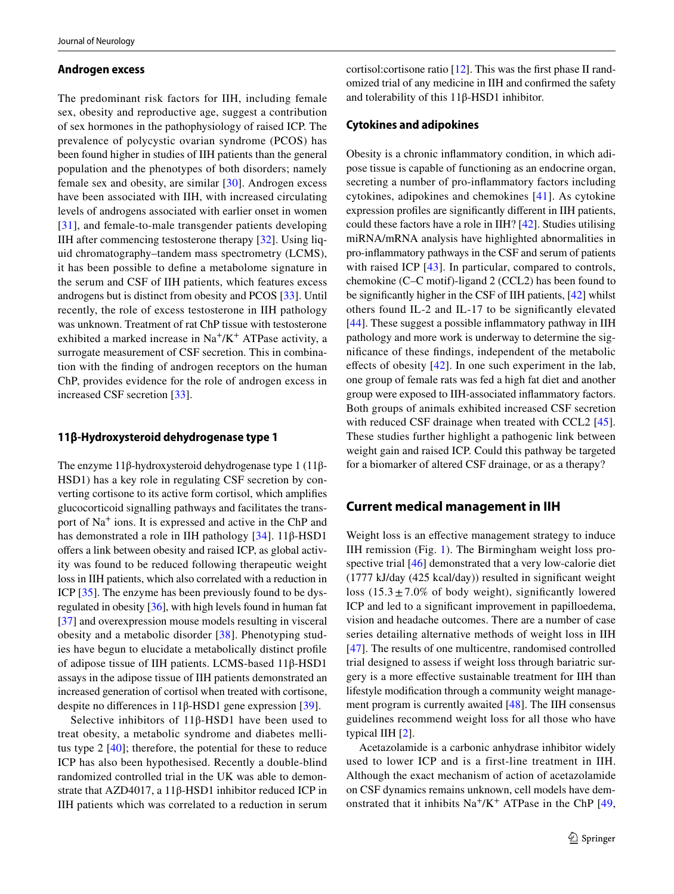#### **Androgen excess**

The predominant risk factors for IIH, including female sex, obesity and reproductive age, suggest a contribution of sex hormones in the pathophysiology of raised ICP. The prevalence of polycystic ovarian syndrome (PCOS) has been found higher in studies of IIH patients than the general population and the phenotypes of both disorders; namely female sex and obesity, are similar [\[30](#page-6-22)]. Androgen excess have been associated with IIH, with increased circulating levels of androgens associated with earlier onset in women [\[31\]](#page-6-23), and female-to-male transgender patients developing IIH after commencing testosterone therapy [[32](#page-6-24)]. Using liquid chromatography–tandem mass spectrometry (LCMS), it has been possible to defne a metabolome signature in the serum and CSF of IIH patients, which features excess androgens but is distinct from obesity and PCOS [[33\]](#page-6-25). Until recently, the role of excess testosterone in IIH pathology was unknown. Treatment of rat ChP tissue with testosterone exhibited a marked increase in  $Na^{+}/K^{+}$  ATPase activity, a surrogate measurement of CSF secretion. This in combination with the fnding of androgen receptors on the human ChP, provides evidence for the role of androgen excess in increased CSF secretion [\[33](#page-6-25)].

#### **11β‑Hydroxysteroid dehydrogenase type 1**

The enzyme 11β-hydroxysteroid dehydrogenase type 1 (11β-HSD1) has a key role in regulating CSF secretion by converting cortisone to its active form cortisol, which amplifes glucocorticoid signalling pathways and facilitates the transport of Na+ ions. It is expressed and active in the ChP and has demonstrated a role in IIH pathology [\[34](#page-6-26)]. 11β-HSD1 offers a link between obesity and raised ICP, as global activity was found to be reduced following therapeutic weight loss in IIH patients, which also correlated with a reduction in ICP [\[35\]](#page-6-27). The enzyme has been previously found to be dysregulated in obesity  $[36]$  $[36]$ , with high levels found in human fat [\[37](#page-6-29)] and overexpression mouse models resulting in visceral obesity and a metabolic disorder [[38](#page-7-0)]. Phenotyping studies have begun to elucidate a metabolically distinct profle of adipose tissue of IIH patients. LCMS-based 11β-HSD1 assays in the adipose tissue of IIH patients demonstrated an increased generation of cortisol when treated with cortisone, despite no diferences in 11β-HSD1 gene expression [[39](#page-7-1)].

Selective inhibitors of 11β-HSD1 have been used to treat obesity, a metabolic syndrome and diabetes mellitus type 2 [[40\]](#page-7-2); therefore, the potential for these to reduce ICP has also been hypothesised. Recently a double-blind randomized controlled trial in the UK was able to demonstrate that AZD4017, a 11β-HSD1 inhibitor reduced ICP in IIH patients which was correlated to a reduction in serum cortisol:cortisone ratio [[12\]](#page-6-7). This was the frst phase II randomized trial of any medicine in IIH and confrmed the safety and tolerability of this 11β-HSD1 inhibitor.

#### **Cytokines and adipokines**

Obesity is a chronic infammatory condition, in which adipose tissue is capable of functioning as an endocrine organ, secreting a number of pro-infammatory factors including cytokines, adipokines and chemokines [[41\]](#page-7-3). As cytokine expression profles are signifcantly diferent in IIH patients, could these factors have a role in IIH? [[42\]](#page-7-4). Studies utilising miRNA/mRNA analysis have highlighted abnormalities in pro-infammatory pathways in the CSF and serum of patients with raised ICP [[43\]](#page-7-5). In particular, compared to controls, chemokine (C–C motif)-ligand 2 (CCL2) has been found to be signifcantly higher in the CSF of IIH patients, [[42\]](#page-7-4) whilst others found IL-2 and IL-17 to be signifcantly elevated [\[44\]](#page-7-6). These suggest a possible infammatory pathway in IIH pathology and more work is underway to determine the signifcance of these fndings, independent of the metabolic effects of obesity  $[42]$ . In one such experiment in the lab, one group of female rats was fed a high fat diet and another group were exposed to IIH-associated infammatory factors. Both groups of animals exhibited increased CSF secretion with reduced CSF drainage when treated with CCL2 [\[45](#page-7-7)]. These studies further highlight a pathogenic link between weight gain and raised ICP. Could this pathway be targeted for a biomarker of altered CSF drainage, or as a therapy?

## **Current medical management in IIH**

Weight loss is an effective management strategy to induce IIH remission (Fig. [1](#page-3-0)). The Birmingham weight loss prospective trial [[46\]](#page-7-8) demonstrated that a very low-calorie diet (1777 kJ/day (425 kcal/day)) resulted in signifcant weight loss  $(15.3 \pm 7.0\%$  of body weight), significantly lowered ICP and led to a signifcant improvement in papilloedema, vision and headache outcomes. There are a number of case series detailing alternative methods of weight loss in IIH [[47\]](#page-7-9). The results of one multicentre, randomised controlled trial designed to assess if weight loss through bariatric surgery is a more efective sustainable treatment for IIH than lifestyle modifcation through a community weight management program is currently awaited [\[48](#page-7-10)]. The IIH consensus guidelines recommend weight loss for all those who have typical IIH [[2](#page-5-1)].

Acetazolamide is a carbonic anhydrase inhibitor widely used to lower ICP and is a first-line treatment in IIH. Although the exact mechanism of action of acetazolamide on CSF dynamics remains unknown, cell models have demonstrated that it inhibits  $Na^{+}/K^{+}$  ATPase in the ChP [\[49,](#page-7-11)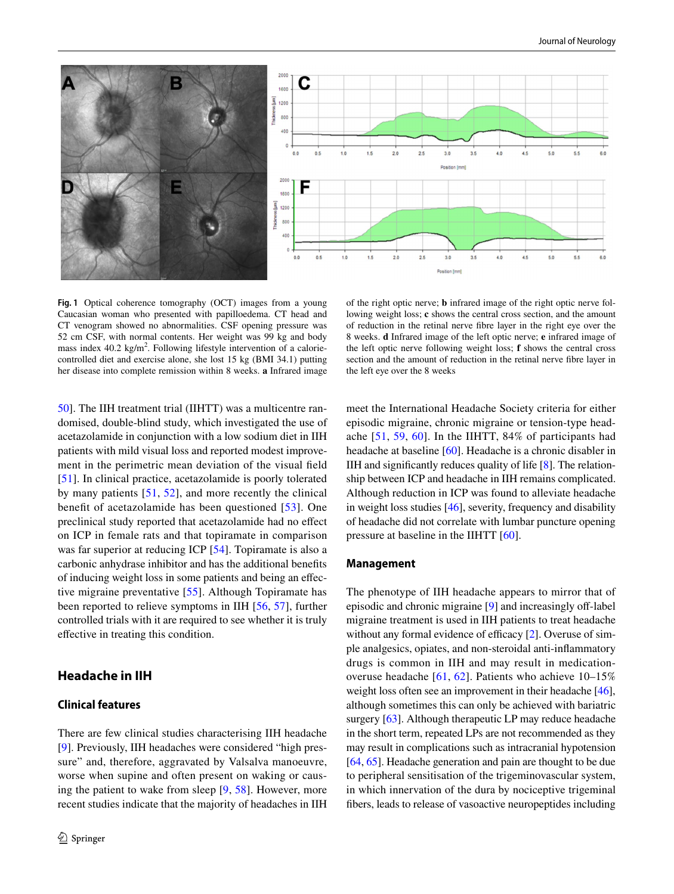

<span id="page-3-0"></span>**Fig. 1** Optical coherence tomography (OCT) images from a young Caucasian woman who presented with papilloedema. CT head and CT venogram showed no abnormalities. CSF opening pressure was 52 cm CSF, with normal contents. Her weight was 99 kg and body mass index 40.2 kg/m<sup>2</sup>. Following lifestyle intervention of a caloriecontrolled diet and exercise alone, she lost 15 kg (BMI 34.1) putting her disease into complete remission within 8 weeks. **a** Infrared image

[50](#page-7-12)]. The IIH treatment trial (IIHTT) was a multicentre randomised, double-blind study, which investigated the use of acetazolamide in conjunction with a low sodium diet in IIH patients with mild visual loss and reported modest improvement in the perimetric mean deviation of the visual feld [\[51\]](#page-7-13). In clinical practice, acetazolamide is poorly tolerated by many patients [[51](#page-7-13), [52](#page-7-14)], and more recently the clinical beneft of acetazolamide has been questioned [[53](#page-7-15)]. One preclinical study reported that acetazolamide had no efect on ICP in female rats and that topiramate in comparison was far superior at reducing ICP [[54\]](#page-7-16). Topiramate is also a carbonic anhydrase inhibitor and has the additional benefts of inducing weight loss in some patients and being an efective migraine preventative [[55](#page-7-17)]. Although Topiramate has been reported to relieve symptoms in IIH [[56,](#page-7-18) [57](#page-7-19)], further controlled trials with it are required to see whether it is truly efective in treating this condition.

## **Headache in IIH**

# **Clinical features**

of the right optic nerve; **b** infrared image of the right optic nerve following weight loss; **c** shows the central cross section, and the amount of reduction in the retinal nerve fbre layer in the right eye over the 8 weeks. **d** Infrared image of the left optic nerve; **e** infrared image of the left optic nerve following weight loss; **f** shows the central cross section and the amount of reduction in the retinal nerve fbre layer in the left eye over the 8 weeks

meet the International Headache Society criteria for either episodic migraine, chronic migraine or tension-type headache [[51](#page-7-13), [59](#page-7-21), [60](#page-7-22)]. In the IIHTT, 84% of participants had headache at baseline [\[60](#page-7-22)]. Headache is a chronic disabler in IIH and signifcantly reduces quality of life [\[8](#page-6-3)]. The relationship between ICP and headache in IIH remains complicated. Although reduction in ICP was found to alleviate headache in weight loss studies [[46\]](#page-7-8), severity, frequency and disability of headache did not correlate with lumbar puncture opening pressure at baseline in the IIHTT [[60](#page-7-22)].

#### **Management**

The phenotype of IIH headache appears to mirror that of episodic and chronic migraine [[9\]](#page-6-4) and increasingly off-label migraine treatment is used in IIH patients to treat headache without any formal evidence of efficacy  $[2]$  $[2]$ . Overuse of simple analgesics, opiates, and non-steroidal anti-infammatory drugs is common in IIH and may result in medicationoveruse headache [[61,](#page-7-23) [62\]](#page-7-24). Patients who achieve 10–15% weight loss often see an improvement in their headache [[46](#page-7-8)], although sometimes this can only be achieved with bariatric surgery [\[63](#page-7-25)]. Although therapeutic LP may reduce headache in the short term, repeated LPs are not recommended as they may result in complications such as intracranial hypotension [\[64](#page-7-26), [65\]](#page-7-27). Headache generation and pain are thought to be due to peripheral sensitisation of the trigeminovascular system, in which innervation of the dura by nociceptive trigeminal fbers, leads to release of vasoactive neuropeptides including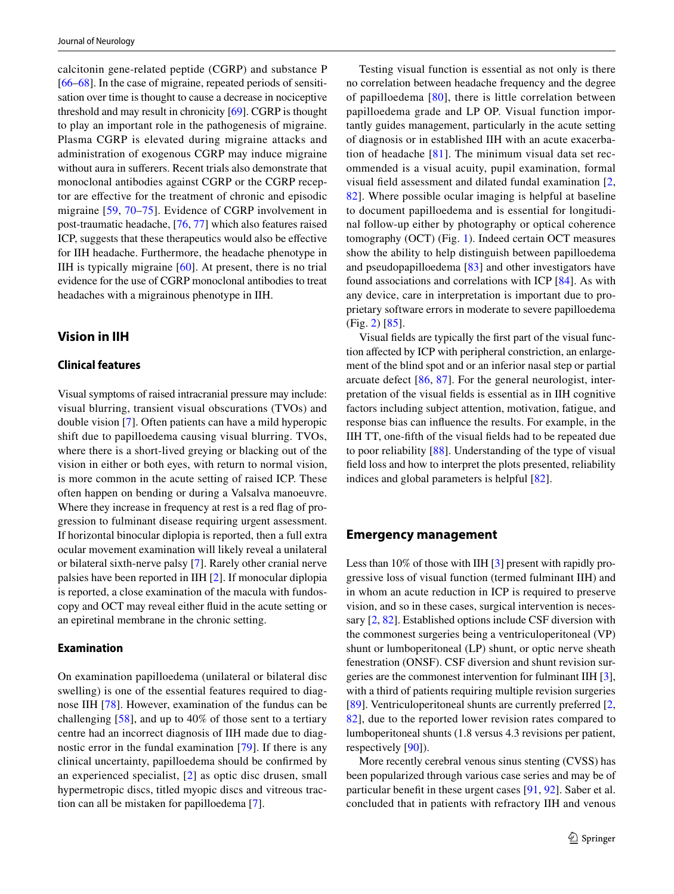calcitonin gene-related peptide (CGRP) and substance P [\[66](#page-7-28)[–68](#page-7-29)]. In the case of migraine, repeated periods of sensitisation over time is thought to cause a decrease in nociceptive threshold and may result in chronicity [\[69](#page-7-30)]. CGRP is thought to play an important role in the pathogenesis of migraine. Plasma CGRP is elevated during migraine attacks and administration of exogenous CGRP may induce migraine without aura in suferers. Recent trials also demonstrate that monoclonal antibodies against CGRP or the CGRP receptor are efective for the treatment of chronic and episodic migraine [\[59,](#page-7-21) [70](#page-7-31)–[75\]](#page-8-0). Evidence of CGRP involvement in post-traumatic headache, [\[76](#page-8-1), [77](#page-8-2)] which also features raised ICP, suggests that these therapeutics would also be efective for IIH headache. Furthermore, the headache phenotype in IIH is typically migraine [[60](#page-7-22)]. At present, there is no trial evidence for the use of CGRP monoclonal antibodies to treat headaches with a migrainous phenotype in IIH.

## **Vision in IIH**

## **Clinical features**

Visual symptoms of raised intracranial pressure may include: visual blurring, transient visual obscurations (TVOs) and double vision [\[7](#page-6-2)]. Often patients can have a mild hyperopic shift due to papilloedema causing visual blurring. TVOs, where there is a short-lived greying or blacking out of the vision in either or both eyes, with return to normal vision, is more common in the acute setting of raised ICP. These often happen on bending or during a Valsalva manoeuvre. Where they increase in frequency at rest is a red fag of progression to fulminant disease requiring urgent assessment. If horizontal binocular diplopia is reported, then a full extra ocular movement examination will likely reveal a unilateral or bilateral sixth-nerve palsy [[7\]](#page-6-2). Rarely other cranial nerve palsies have been reported in IIH [[2\]](#page-5-1). If monocular diplopia is reported, a close examination of the macula with fundoscopy and OCT may reveal either fuid in the acute setting or an epiretinal membrane in the chronic setting.

## **Examination**

On examination papilloedema (unilateral or bilateral disc swelling) is one of the essential features required to diagnose IIH [[78\]](#page-8-3). However, examination of the fundus can be challenging  $[58]$  $[58]$ , and up to 40% of those sent to a tertiary centre had an incorrect diagnosis of IIH made due to diagnostic error in the fundal examination [[79](#page-8-4)]. If there is any clinical uncertainty, papilloedema should be confrmed by an experienced specialist, [\[2\]](#page-5-1) as optic disc drusen, small hypermetropic discs, titled myopic discs and vitreous traction can all be mistaken for papilloedema [\[7](#page-6-2)].

Testing visual function is essential as not only is there no correlation between headache frequency and the degree of papilloedema [[80](#page-8-5)], there is little correlation between papilloedema grade and LP OP. Visual function importantly guides management, particularly in the acute setting of diagnosis or in established IIH with an acute exacerbation of headache [[81\]](#page-8-6). The minimum visual data set recommended is a visual acuity, pupil examination, formal visual feld assessment and dilated fundal examination [[2,](#page-5-1) [82](#page-8-7)]. Where possible ocular imaging is helpful at baseline to document papilloedema and is essential for longitudinal follow-up either by photography or optical coherence tomography (OCT) (Fig. [1](#page-3-0)). Indeed certain OCT measures show the ability to help distinguish between papilloedema and pseudopapilloedema [[83\]](#page-8-8) and other investigators have found associations and correlations with ICP [[84\]](#page-8-9). As with any device, care in interpretation is important due to proprietary software errors in moderate to severe papilloedema (Fig. [2\)](#page-5-4) [\[85](#page-8-10)].

Visual felds are typically the frst part of the visual function afected by ICP with peripheral constriction, an enlargement of the blind spot and or an inferior nasal step or partial arcuate defect [[86](#page-8-11), [87\]](#page-8-12). For the general neurologist, interpretation of the visual felds is essential as in IIH cognitive factors including subject attention, motivation, fatigue, and response bias can infuence the results. For example, in the IIH TT, one-ffth of the visual felds had to be repeated due to poor reliability [[88\]](#page-8-13). Understanding of the type of visual feld loss and how to interpret the plots presented, reliability indices and global parameters is helpful [\[82](#page-8-7)].

#### **Emergency management**

Less than 10% of those with IIH [\[3](#page-5-2)] present with rapidly progressive loss of visual function (termed fulminant IIH) and in whom an acute reduction in ICP is required to preserve vision, and so in these cases, surgical intervention is necessary [\[2](#page-5-1), [82](#page-8-7)]. Established options include CSF diversion with the commonest surgeries being a ventriculoperitoneal (VP) shunt or lumboperitoneal (LP) shunt, or optic nerve sheath fenestration (ONSF). CSF diversion and shunt revision surgeries are the commonest intervention for fulminant IIH [\[3](#page-5-2)], with a third of patients requiring multiple revision surgeries [[89\]](#page-8-14). Ventriculoperitoneal shunts are currently preferred [[2,](#page-5-1) [82](#page-8-7)], due to the reported lower revision rates compared to lumboperitoneal shunts (1.8 versus 4.3 revisions per patient, respectively [\[90](#page-8-15)]).

More recently cerebral venous sinus stenting (CVSS) has been popularized through various case series and may be of particular beneft in these urgent cases [[91](#page-8-16), [92](#page-8-17)]. Saber et al. concluded that in patients with refractory IIH and venous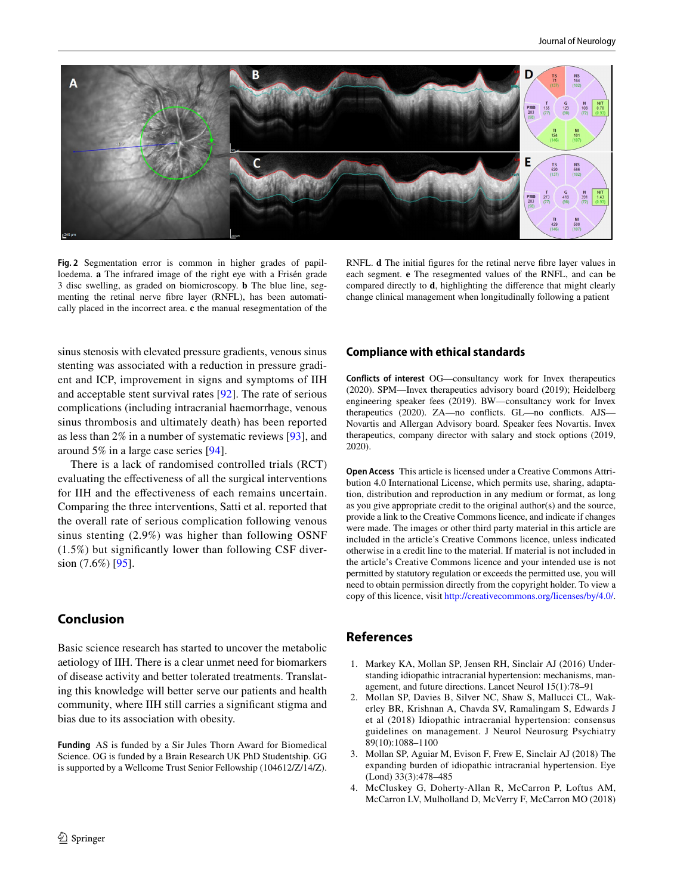

<span id="page-5-4"></span>**Fig. 2** Segmentation error is common in higher grades of papilloedema. **a** The infrared image of the right eye with a Frisén grade 3 disc swelling, as graded on biomicroscopy. **b** The blue line, segmenting the retinal nerve fbre layer (RNFL), has been automatically placed in the incorrect area. **c** the manual resegmentation of the

RNFL. **d** The initial figures for the retinal nerve fibre layer values in each segment. **e** The resegmented values of the RNFL, and can be compared directly to **d**, highlighting the diference that might clearly change clinical management when longitudinally following a patient

sinus stenosis with elevated pressure gradients, venous sinus stenting was associated with a reduction in pressure gradient and ICP, improvement in signs and symptoms of IIH and acceptable stent survival rates [[92](#page-8-17)]. The rate of serious complications (including intracranial haemorrhage, venous sinus thrombosis and ultimately death) has been reported as less than 2% in a number of systematic reviews [\[93](#page-8-18)], and around 5% in a large case series [[94](#page-8-19)].

There is a lack of randomised controlled trials (RCT) evaluating the efectiveness of all the surgical interventions for IIH and the efectiveness of each remains uncertain. Comparing the three interventions, Satti et al. reported that the overall rate of serious complication following venous sinus stenting (2.9%) was higher than following OSNF (1.5%) but signifcantly lower than following CSF diversion (7.6%) [\[95](#page-8-20)].

# **Conclusion**

Basic science research has started to uncover the metabolic aetiology of IIH. There is a clear unmet need for biomarkers of disease activity and better tolerated treatments. Translating this knowledge will better serve our patients and health community, where IIH still carries a signifcant stigma and bias due to its association with obesity.

**Funding** AS is funded by a Sir Jules Thorn Award for Biomedical Science. OG is funded by a Brain Research UK PhD Studentship. GG is supported by a Wellcome Trust Senior Fellowship (104612/Z/14/Z).

## **Compliance with ethical standards**

**Conflicts of interest** OG—consultancy work for Invex therapeutics (2020). SPM—Invex therapeutics advisory board (2019); Heidelberg engineering speaker fees (2019). BW—consultancy work for Invex therapeutics (2020). ZA-no conflicts. GL-no conflicts. AJS-Novartis and Allergan Advisory board. Speaker fees Novartis. Invex therapeutics, company director with salary and stock options (2019, 2020).

**Open Access** This article is licensed under a Creative Commons Attribution 4.0 International License, which permits use, sharing, adaptation, distribution and reproduction in any medium or format, as long as you give appropriate credit to the original author(s) and the source, provide a link to the Creative Commons licence, and indicate if changes were made. The images or other third party material in this article are included in the article's Creative Commons licence, unless indicated otherwise in a credit line to the material. If material is not included in the article's Creative Commons licence and your intended use is not permitted by statutory regulation or exceeds the permitted use, you will need to obtain permission directly from the copyright holder. To view a copy of this licence, visit<http://creativecommons.org/licenses/by/4.0/>.

# **References**

- <span id="page-5-0"></span>1. Markey KA, Mollan SP, Jensen RH, Sinclair AJ (2016) Understanding idiopathic intracranial hypertension: mechanisms, management, and future directions. Lancet Neurol 15(1):78–91
- <span id="page-5-1"></span>2. Mollan SP, Davies B, Silver NC, Shaw S, Mallucci CL, Wakerley BR, Krishnan A, Chavda SV, Ramalingam S, Edwards J et al (2018) Idiopathic intracranial hypertension: consensus guidelines on management. J Neurol Neurosurg Psychiatry 89(10):1088–1100
- <span id="page-5-2"></span>3. Mollan SP, Aguiar M, Evison F, Frew E, Sinclair AJ (2018) The expanding burden of idiopathic intracranial hypertension. Eye (Lond) 33(3):478–485
- <span id="page-5-3"></span>4. McCluskey G, Doherty-Allan R, McCarron P, Loftus AM, McCarron LV, Mulholland D, McVerry F, McCarron MO (2018)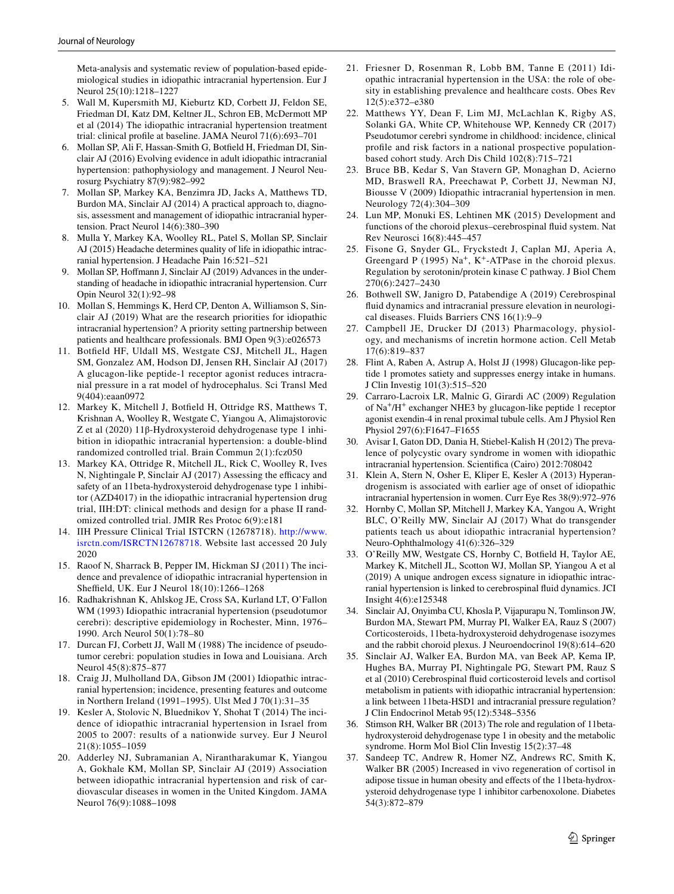Meta-analysis and systematic review of population-based epidemiological studies in idiopathic intracranial hypertension. Eur J Neurol 25(10):1218–1227

- <span id="page-6-0"></span>5. Wall M, Kupersmith MJ, Kieburtz KD, Corbett JJ, Feldon SE, Friedman DI, Katz DM, Keltner JL, Schron EB, McDermott MP et al (2014) The idiopathic intracranial hypertension treatment trial: clinical profle at baseline. JAMA Neurol 71(6):693–701
- <span id="page-6-1"></span>6. Mollan SP, Ali F, Hassan-Smith G, Botfeld H, Friedman DI, Sinclair AJ (2016) Evolving evidence in adult idiopathic intracranial hypertension: pathophysiology and management. J Neurol Neurosurg Psychiatry 87(9):982–992
- <span id="page-6-2"></span>7. Mollan SP, Markey KA, Benzimra JD, Jacks A, Matthews TD, Burdon MA, Sinclair AJ (2014) A practical approach to, diagnosis, assessment and management of idiopathic intracranial hypertension. Pract Neurol 14(6):380–390
- <span id="page-6-3"></span>8. Mulla Y, Markey KA, Woolley RL, Patel S, Mollan SP, Sinclair AJ (2015) Headache determines quality of life in idiopathic intracranial hypertension. J Headache Pain 16:521–521
- <span id="page-6-4"></span>9. Mollan SP, Hofmann J, Sinclair AJ (2019) Advances in the understanding of headache in idiopathic intracranial hypertension. Curr Opin Neurol 32(1):92–98
- <span id="page-6-5"></span>10. Mollan S, Hemmings K, Herd CP, Denton A, Williamson S, Sinclair AJ (2019) What are the research priorities for idiopathic intracranial hypertension? A priority setting partnership between patients and healthcare professionals. BMJ Open 9(3):e026573
- <span id="page-6-6"></span>11. Botfeld HF, Uldall MS, Westgate CSJ, Mitchell JL, Hagen SM, Gonzalez AM, Hodson DJ, Jensen RH, Sinclair AJ (2017) A glucagon-like peptide-1 receptor agonist reduces intracranial pressure in a rat model of hydrocephalus. Sci Transl Med 9(404):eaan0972
- <span id="page-6-7"></span>12. Markey K, Mitchell J, Botfeld H, Ottridge RS, Matthews T, Krishnan A, Woolley R, Westgate C, Yiangou A, Alimajstorovic Z et al (2020) 11β-Hydroxysteroid dehydrogenase type 1 inhibition in idiopathic intracranial hypertension: a double-blind randomized controlled trial. Brain Commun 2(1):fcz050
- 13. Markey KA, Ottridge R, Mitchell JL, Rick C, Woolley R, Ives N, Nightingale P, Sinclair AJ (2017) Assessing the efficacy and safety of an 11beta-hydroxysteroid dehydrogenase type 1 inhibitor (AZD4017) in the idiopathic intracranial hypertension drug trial, IIH:DT: clinical methods and design for a phase II randomized controlled trial. JMIR Res Protoc 6(9):e181
- <span id="page-6-8"></span>14. IIH Pressure Clinical Trial ISTCRN (12678718). [http://www.](http://www.isrctn.com/ISRCTN12678718) [isrctn.com/ISRCTN12678718](http://www.isrctn.com/ISRCTN12678718). Website last accessed 20 July 2020
- <span id="page-6-9"></span>15. Raoof N, Sharrack B, Pepper IM, Hickman SJ (2011) The incidence and prevalence of idiopathic intracranial hypertension in Sheffield, UK. Eur J Neurol  $18(10):1266-1268$
- 16. Radhakrishnan K, Ahlskog JE, Cross SA, Kurland LT, O'Fallon WM (1993) Idiopathic intracranial hypertension (pseudotumor cerebri): descriptive epidemiology in Rochester, Minn, 1976– 1990. Arch Neurol 50(1):78–80
- <span id="page-6-13"></span>17. Durcan FJ, Corbett JJ, Wall M (1988) The incidence of pseudotumor cerebri: population studies in Iowa and Louisiana. Arch Neurol 45(8):875–877
- 18. Craig JJ, Mulholland DA, Gibson JM (2001) Idiopathic intracranial hypertension; incidence, presenting features and outcome in Northern Ireland (1991–1995). Ulst Med J 70(1):31–35
- <span id="page-6-10"></span>19. Kesler A, Stolovic N, Bluednikov Y, Shohat T (2014) The incidence of idiopathic intracranial hypertension in Israel from 2005 to 2007: results of a nationwide survey. Eur J Neurol 21(8):1055–1059
- <span id="page-6-11"></span>20. Adderley NJ, Subramanian A, Nirantharakumar K, Yiangou A, Gokhale KM, Mollan SP, Sinclair AJ (2019) Association between idiopathic intracranial hypertension and risk of cardiovascular diseases in women in the United Kingdom. JAMA Neurol 76(9):1088–1098
- <span id="page-6-12"></span>21. Friesner D, Rosenman R, Lobb BM, Tanne E (2011) Idiopathic intracranial hypertension in the USA: the role of obesity in establishing prevalence and healthcare costs. Obes Rev 12(5):e372–e380
- <span id="page-6-14"></span>22. Matthews YY, Dean F, Lim MJ, McLachlan K, Rigby AS, Solanki GA, White CP, Whitehouse WP, Kennedy CR (2017) Pseudotumor cerebri syndrome in childhood: incidence, clinical profle and risk factors in a national prospective populationbased cohort study. Arch Dis Child 102(8):715–721
- <span id="page-6-15"></span>23. Bruce BB, Kedar S, Van Stavern GP, Monaghan D, Acierno MD, Braswell RA, Preechawat P, Corbett JJ, Newman NJ, Biousse V (2009) Idiopathic intracranial hypertension in men. Neurology 72(4):304–309
- <span id="page-6-16"></span>24. Lun MP, Monuki ES, Lehtinen MK (2015) Development and functions of the choroid plexus–cerebrospinal fuid system. Nat Rev Neurosci 16(8):445–457
- <span id="page-6-17"></span>25. Fisone G, Snyder GL, Fryckstedt J, Caplan MJ, Aperia A, Greengard P (1995) Na<sup>+</sup>, K<sup>+</sup>-ATPase in the choroid plexus. Regulation by serotonin/protein kinase C pathway. J Biol Chem 270(6):2427–2430
- <span id="page-6-18"></span>26. Bothwell SW, Janigro D, Patabendige A (2019) Cerebrospinal fuid dynamics and intracranial pressure elevation in neurological diseases. Fluids Barriers CNS 16(1):9–9
- <span id="page-6-19"></span>27. Campbell JE, Drucker DJ (2013) Pharmacology, physiology, and mechanisms of incretin hormone action. Cell Metab 17(6):819–837
- <span id="page-6-20"></span>28. Flint A, Raben A, Astrup A, Holst JJ (1998) Glucagon-like peptide 1 promotes satiety and suppresses energy intake in humans. J Clin Investig 101(3):515–520
- <span id="page-6-21"></span>29. Carraro-Lacroix LR, Malnic G, Girardi AC (2009) Regulation of Na+/H+ exchanger NHE3 by glucagon-like peptide 1 receptor agonist exendin-4 in renal proximal tubule cells. Am J Physiol Ren Physiol 297(6):F1647–F1655
- <span id="page-6-22"></span>30. Avisar I, Gaton DD, Dania H, Stiebel-Kalish H (2012) The prevalence of polycystic ovary syndrome in women with idiopathic intracranial hypertension. Scientifca (Cairo) 2012:708042
- <span id="page-6-23"></span>31. Klein A, Stern N, Osher E, Kliper E, Kesler A (2013) Hyperandrogenism is associated with earlier age of onset of idiopathic intracranial hypertension in women. Curr Eye Res 38(9):972–976
- <span id="page-6-24"></span>32. Hornby C, Mollan SP, Mitchell J, Markey KA, Yangou A, Wright BLC, O'Reilly MW, Sinclair AJ (2017) What do transgender patients teach us about idiopathic intracranial hypertension? Neuro-Ophthalmology 41(6):326–329
- <span id="page-6-25"></span>33. O'Reilly MW, Westgate CS, Hornby C, Botfeld H, Taylor AE, Markey K, Mitchell JL, Scotton WJ, Mollan SP, Yiangou A et al (2019) A unique androgen excess signature in idiopathic intracranial hypertension is linked to cerebrospinal fuid dynamics. JCI Insight 4(6):e125348
- <span id="page-6-26"></span>34. Sinclair AJ, Onyimba CU, Khosla P, Vijapurapu N, Tomlinson JW, Burdon MA, Stewart PM, Murray PI, Walker EA, Rauz S (2007) Corticosteroids, 11beta-hydroxysteroid dehydrogenase isozymes and the rabbit choroid plexus. J Neuroendocrinol 19(8):614–620
- <span id="page-6-27"></span>35. Sinclair AJ, Walker EA, Burdon MA, van Beek AP, Kema IP, Hughes BA, Murray PI, Nightingale PG, Stewart PM, Rauz S et al (2010) Cerebrospinal fuid corticosteroid levels and cortisol metabolism in patients with idiopathic intracranial hypertension: a link between 11beta-HSD1 and intracranial pressure regulation? J Clin Endocrinol Metab 95(12):5348–5356
- <span id="page-6-28"></span>36. Stimson RH, Walker BR (2013) The role and regulation of 11betahydroxysteroid dehydrogenase type 1 in obesity and the metabolic syndrome. Horm Mol Biol Clin Investig 15(2):37–48
- <span id="page-6-29"></span>37. Sandeep TC, Andrew R, Homer NZ, Andrews RC, Smith K, Walker BR (2005) Increased in vivo regeneration of cortisol in adipose tissue in human obesity and efects of the 11beta-hydroxysteroid dehydrogenase type 1 inhibitor carbenoxolone. Diabetes 54(3):872–879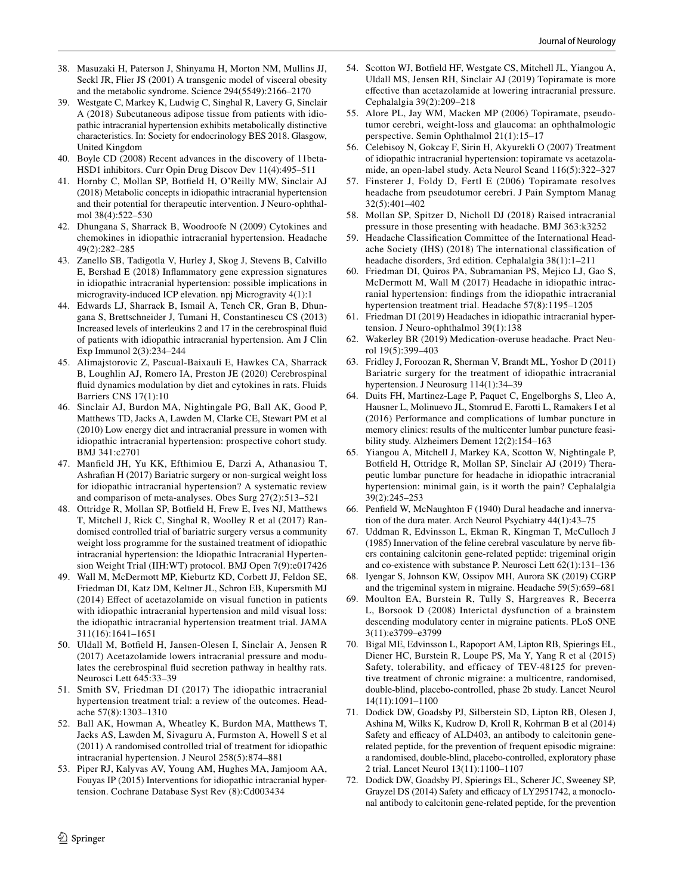- <span id="page-7-0"></span>38. Masuzaki H, Paterson J, Shinyama H, Morton NM, Mullins JJ, Seckl JR, Flier JS (2001) A transgenic model of visceral obesity and the metabolic syndrome. Science 294(5549):2166–2170
- <span id="page-7-1"></span>39. Westgate C, Markey K, Ludwig C, Singhal R, Lavery G, Sinclair A (2018) Subcutaneous adipose tissue from patients with idiopathic intracranial hypertension exhibits metabolically distinctive characteristics. In: Society for endocrinology BES 2018. Glasgow, United Kingdom
- <span id="page-7-2"></span>40. Boyle CD (2008) Recent advances in the discovery of 11beta-HSD1 inhibitors. Curr Opin Drug Discov Dev 11(4):495–511
- <span id="page-7-3"></span>41. Hornby C, Mollan SP, Botfeld H, O'Reilly MW, Sinclair AJ (2018) Metabolic concepts in idiopathic intracranial hypertension and their potential for therapeutic intervention. J Neuro-ophthalmol 38(4):522–530
- <span id="page-7-4"></span>42. Dhungana S, Sharrack B, Woodroofe N (2009) Cytokines and chemokines in idiopathic intracranial hypertension. Headache 49(2):282–285
- <span id="page-7-5"></span>43. Zanello SB, Tadigotla V, Hurley J, Skog J, Stevens B, Calvillo E, Bershad E (2018) Infammatory gene expression signatures in idiopathic intracranial hypertension: possible implications in microgravity-induced ICP elevation. npj Microgravity 4(1):1
- <span id="page-7-6"></span>44. Edwards LJ, Sharrack B, Ismail A, Tench CR, Gran B, Dhungana S, Brettschneider J, Tumani H, Constantinescu CS (2013) Increased levels of interleukins 2 and 17 in the cerebrospinal fuid of patients with idiopathic intracranial hypertension. Am J Clin Exp Immunol 2(3):234–244
- <span id="page-7-7"></span>45. Alimajstorovic Z, Pascual-Baixauli E, Hawkes CA, Sharrack B, Loughlin AJ, Romero IA, Preston JE (2020) Cerebrospinal fuid dynamics modulation by diet and cytokines in rats. Fluids Barriers CNS 17(1):10
- <span id="page-7-8"></span>46. Sinclair AJ, Burdon MA, Nightingale PG, Ball AK, Good P, Matthews TD, Jacks A, Lawden M, Clarke CE, Stewart PM et al (2010) Low energy diet and intracranial pressure in women with idiopathic intracranial hypertension: prospective cohort study. BMJ 341:c2701
- <span id="page-7-9"></span>47. Manfeld JH, Yu KK, Efthimiou E, Darzi A, Athanasiou T, Ashrafan H (2017) Bariatric surgery or non-surgical weight loss for idiopathic intracranial hypertension? A systematic review and comparison of meta-analyses. Obes Surg 27(2):513–521
- <span id="page-7-10"></span>48. Ottridge R, Mollan SP, Botfeld H, Frew E, Ives NJ, Matthews T, Mitchell J, Rick C, Singhal R, Woolley R et al (2017) Randomised controlled trial of bariatric surgery versus a community weight loss programme for the sustained treatment of idiopathic intracranial hypertension: the Idiopathic Intracranial Hypertension Weight Trial (IIH:WT) protocol. BMJ Open 7(9):e017426
- <span id="page-7-11"></span>49. Wall M, McDermott MP, Kieburtz KD, Corbett JJ, Feldon SE, Friedman DI, Katz DM, Keltner JL, Schron EB, Kupersmith MJ (2014) Efect of acetazolamide on visual function in patients with idiopathic intracranial hypertension and mild visual loss: the idiopathic intracranial hypertension treatment trial. JAMA 311(16):1641–1651
- <span id="page-7-12"></span>50. Uldall M, Botfeld H, Jansen-Olesen I, Sinclair A, Jensen R (2017) Acetazolamide lowers intracranial pressure and modulates the cerebrospinal fuid secretion pathway in healthy rats. Neurosci Lett 645:33–39
- <span id="page-7-13"></span>51. Smith SV, Friedman DI (2017) The idiopathic intracranial hypertension treatment trial: a review of the outcomes. Headache 57(8):1303–1310
- <span id="page-7-14"></span>52. Ball AK, Howman A, Wheatley K, Burdon MA, Matthews T, Jacks AS, Lawden M, Sivaguru A, Furmston A, Howell S et al (2011) A randomised controlled trial of treatment for idiopathic intracranial hypertension. J Neurol 258(5):874–881
- <span id="page-7-15"></span>53. Piper RJ, Kalyvas AV, Young AM, Hughes MA, Jamjoom AA, Fouyas IP (2015) Interventions for idiopathic intracranial hypertension. Cochrane Database Syst Rev (8):Cd003434
- <span id="page-7-16"></span>54. Scotton WJ, Botfeld HF, Westgate CS, Mitchell JL, Yiangou A, Uldall MS, Jensen RH, Sinclair AJ (2019) Topiramate is more efective than acetazolamide at lowering intracranial pressure. Cephalalgia 39(2):209–218
- <span id="page-7-17"></span>55. Alore PL, Jay WM, Macken MP (2006) Topiramate, pseudotumor cerebri, weight-loss and glaucoma: an ophthalmologic perspective. Semin Ophthalmol 21(1):15–17
- <span id="page-7-18"></span>56. Celebisoy N, Gokcay F, Sirin H, Akyurekli O (2007) Treatment of idiopathic intracranial hypertension: topiramate vs acetazolamide, an open-label study. Acta Neurol Scand 116(5):322–327
- <span id="page-7-19"></span>57. Finsterer J, Foldy D, Fertl E (2006) Topiramate resolves headache from pseudotumor cerebri. J Pain Symptom Manag 32(5):401–402
- <span id="page-7-20"></span>58. Mollan SP, Spitzer D, Nicholl DJ (2018) Raised intracranial pressure in those presenting with headache. BMJ 363:k3252
- <span id="page-7-21"></span>59. Headache Classifcation Committee of the International Headache Society (IHS) (2018) The international classifcation of headache disorders, 3rd edition. Cephalalgia 38(1):1–211
- <span id="page-7-22"></span>60. Friedman DI, Quiros PA, Subramanian PS, Mejico LJ, Gao S, McDermott M, Wall M (2017) Headache in idiopathic intracranial hypertension: fndings from the idiopathic intracranial hypertension treatment trial. Headache 57(8):1195–1205
- <span id="page-7-23"></span>61. Friedman DI (2019) Headaches in idiopathic intracranial hypertension. J Neuro-ophthalmol 39(1):138
- <span id="page-7-24"></span>62. Wakerley BR (2019) Medication-overuse headache. Pract Neurol 19(5):399–403
- <span id="page-7-25"></span>63. Fridley J, Foroozan R, Sherman V, Brandt ML, Yoshor D (2011) Bariatric surgery for the treatment of idiopathic intracranial hypertension. J Neurosurg 114(1):34–39
- <span id="page-7-26"></span>64. Duits FH, Martinez-Lage P, Paquet C, Engelborghs S, Lleo A, Hausner L, Molinuevo JL, Stomrud E, Farotti L, Ramakers I et al (2016) Performance and complications of lumbar puncture in memory clinics: results of the multicenter lumbar puncture feasibility study. Alzheimers Dement 12(2):154–163
- <span id="page-7-27"></span>65. Yiangou A, Mitchell J, Markey KA, Scotton W, Nightingale P, Botfeld H, Ottridge R, Mollan SP, Sinclair AJ (2019) Therapeutic lumbar puncture for headache in idiopathic intracranial hypertension: minimal gain, is it worth the pain? Cephalalgia 39(2):245–253
- <span id="page-7-28"></span>66. Penfeld W, McNaughton F (1940) Dural headache and innervation of the dura mater. Arch Neurol Psychiatry 44(1):43–75
- 67. Uddman R, Edvinsson L, Ekman R, Kingman T, McCulloch J (1985) Innervation of the feline cerebral vasculature by nerve fbers containing calcitonin gene-related peptide: trigeminal origin and co-existence with substance P. Neurosci Lett 62(1):131–136
- <span id="page-7-29"></span>68. Iyengar S, Johnson KW, Ossipov MH, Aurora SK (2019) CGRP and the trigeminal system in migraine. Headache 59(5):659–681
- <span id="page-7-30"></span>69. Moulton EA, Burstein R, Tully S, Hargreaves R, Becerra L, Borsook D (2008) Interictal dysfunction of a brainstem descending modulatory center in migraine patients. PLoS ONE 3(11):e3799–e3799
- <span id="page-7-31"></span>70. Bigal ME, Edvinsson L, Rapoport AM, Lipton RB, Spierings EL, Diener HC, Burstein R, Loupe PS, Ma Y, Yang R et al (2015) Safety, tolerability, and efficacy of TEV-48125 for preventive treatment of chronic migraine: a multicentre, randomised, double-blind, placebo-controlled, phase 2b study. Lancet Neurol 14(11):1091–1100
- 71. Dodick DW, Goadsby PJ, Silberstein SD, Lipton RB, Olesen J, Ashina M, Wilks K, Kudrow D, Kroll R, Kohrman B et al (2014) Safety and efficacy of ALD403, an antibody to calcitonin generelated peptide, for the prevention of frequent episodic migraine: a randomised, double-blind, placebo-controlled, exploratory phase 2 trial. Lancet Neurol 13(11):1100–1107
- 72. Dodick DW, Goadsby PJ, Spierings EL, Scherer JC, Sweeney SP, Grayzel DS (2014) Safety and efficacy of LY2951742, a monoclonal antibody to calcitonin gene-related peptide, for the prevention